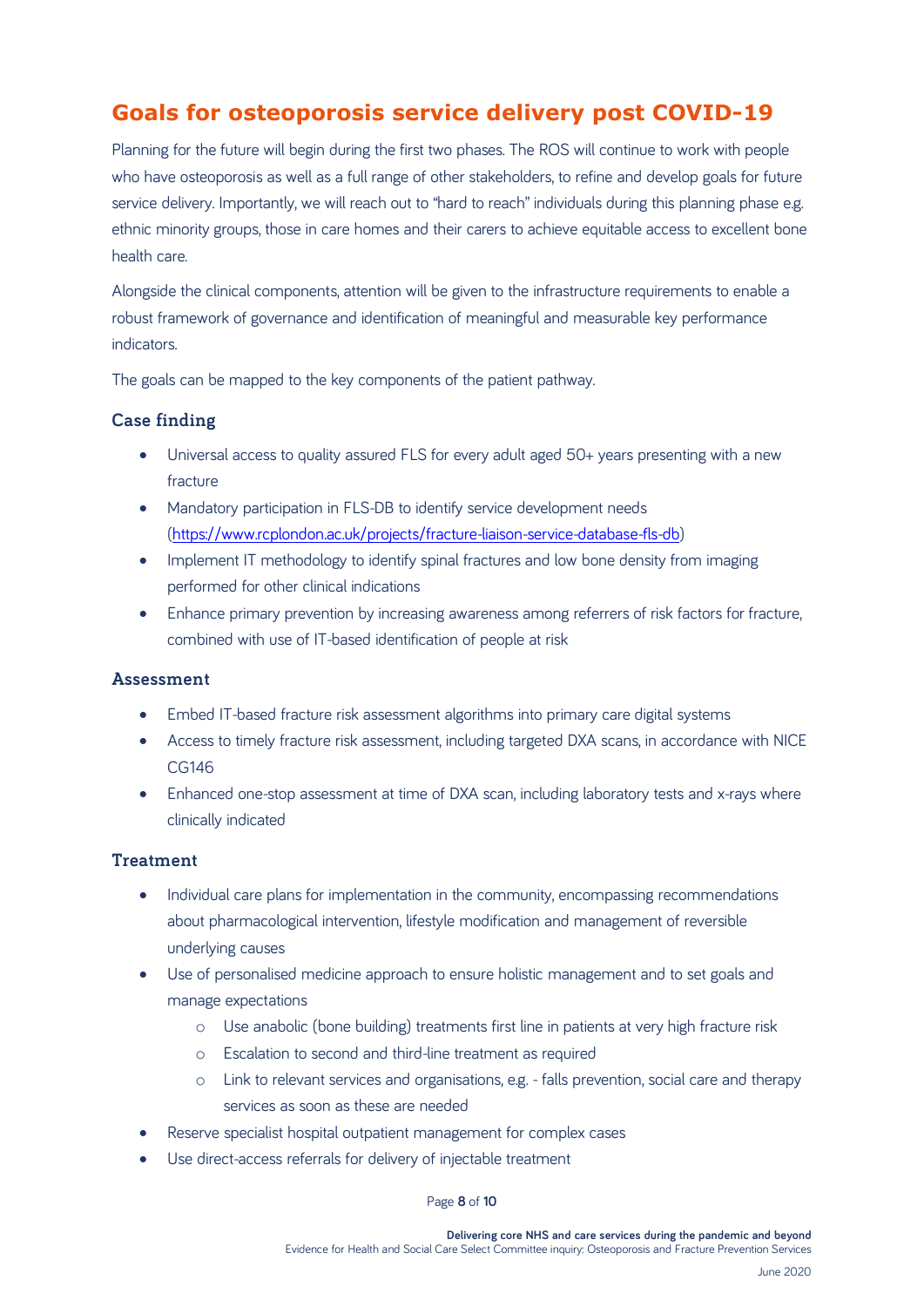# **Goals for osteoporosis service delivery post COVID-19**

Planning for the future will begin during the first two phases. The ROS will continue to work with people who have osteoporosis as well as a full range of other stakeholders, to refine and develop goals for future service delivery. Importantly, we will reach out to "hard to reach" individuals during this planning phase e.g. ethnic minority groups, those in care homes and their carers to achieve equitable access to excellent bone health care.

Alongside the clinical components, attention will be given to the infrastructure requirements to enable a robust framework of governance and identification of meaningful and measurable key performance **indicators** 

The goals can be mapped to the key components of the patient pathway.

## **Case finding**

- Universal access to quality assured FLS for every adult aged 50+ years presenting with a new fracture
- Mandatory participation in FLS-DB to identify service development needs [\(https://www.rcplondon.ac.uk/projects/fracture-liaison-service-database-fls-db\)](https://www.rcplondon.ac.uk/projects/fracture-liaison-service-database-fls-db)
- Implement IT methodology to identify spinal fractures and low bone density from imaging performed for other clinical indications
- Enhance primary prevention by increasing awareness among referrers of risk factors for fracture, combined with use of IT-based identification of people at risk

### **Assessment**

- Embed IT-based fracture risk assessment algorithms into primary care digital systems
- Access to timely fracture risk assessment, including targeted DXA scans, in accordance with NICE CG146
- Enhanced one-stop assessment at time of DXA scan, including laboratory tests and x-rays where clinically indicated

### **Treatment**

- Individual care plans for implementation in the community, encompassing recommendations about pharmacological intervention, lifestyle modification and management of reversible underlying causes
- Use of personalised medicine approach to ensure holistic management and to set goals and manage expectations
	- o Use anabolic (bone building) treatments first line in patients at very high fracture risk
	- o Escalation to second and third-line treatment as required
	- o Link to relevant services and organisations, e.g. falls prevention, social care and therapy services as soon as these are needed
- Reserve specialist hospital outpatient management for complex cases
- Use direct-access referrals for delivery of injectable treatment

#### Page **8** of **10**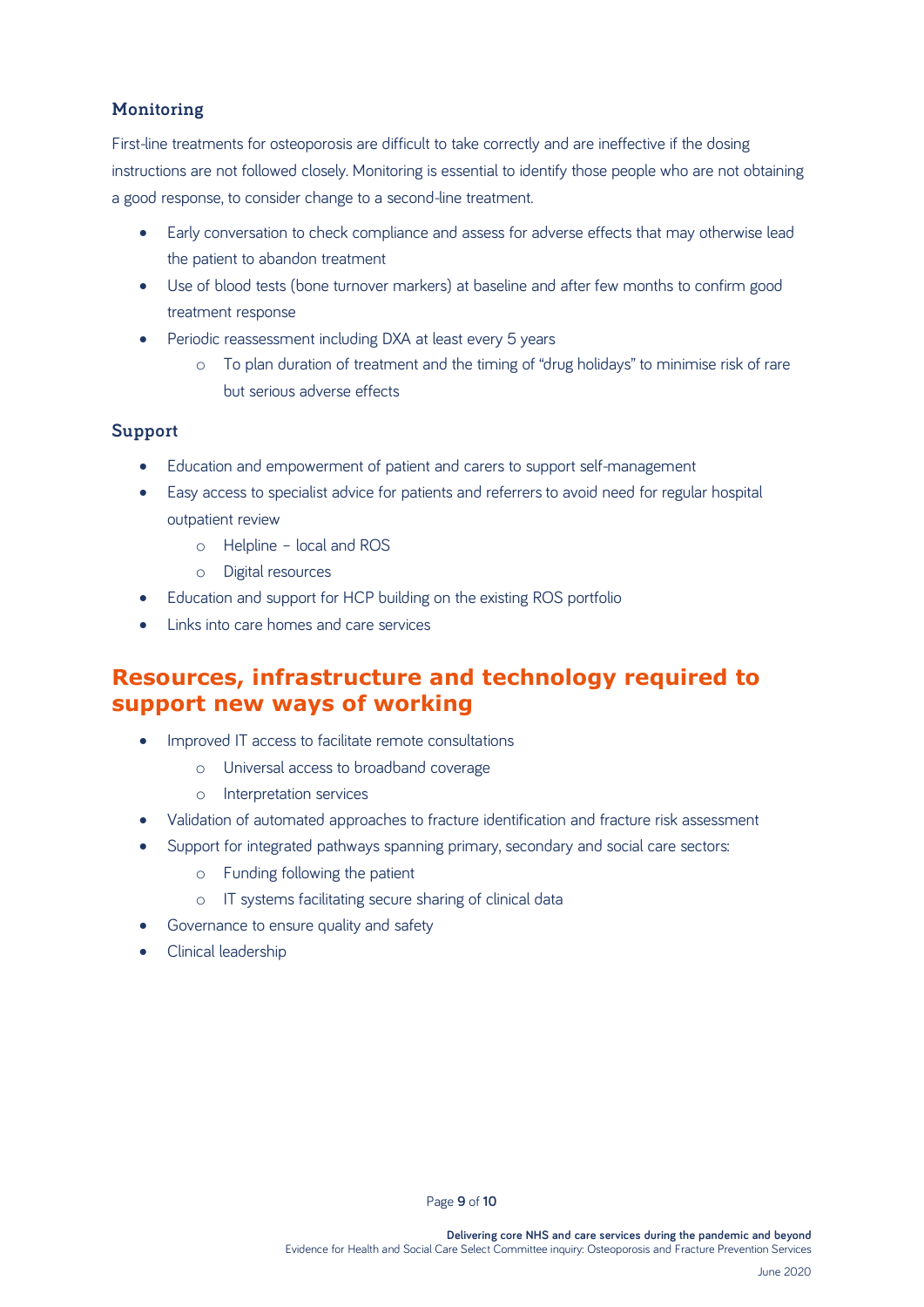## **Monitoring**

First-line treatments for osteoporosis are difficult to take correctly and are ineffective if the dosing instructions are not followed closely. Monitoring is essential to identify those people who are not obtaining a good response, to consider change to a second-line treatment.

- Early conversation to check compliance and assess for adverse effects that may otherwise lead the patient to abandon treatment
- Use of blood tests (bone turnover markers) at baseline and after few months to confirm good treatment response
- Periodic reassessment including DXA at least every 5 years
	- o To plan duration of treatment and the timing of "drug holidays" to minimise risk of rare but serious adverse effects

### **Support**

- Education and empowerment of patient and carers to support self-management
- Easy access to specialist advice for patients and referrers to avoid need for regular hospital outpatient review
	- o Helpline local and ROS
	- o Digital resources
- Education and support for HCP building on the existing ROS portfolio
- Links into care homes and care services

## **Resources, infrastructure and technology required to support new ways of working**

- Improved IT access to facilitate remote consultations
	- o Universal access to broadband coverage
	- o Interpretation services
- Validation of automated approaches to fracture identification and fracture risk assessment
- Support for integrated pathways spanning primary, secondary and social care sectors:
	- o Funding following the patient
	- o IT systems facilitating secure sharing of clinical data
- Governance to ensure quality and safety
- Clinical leadership

Page **9** of **10**